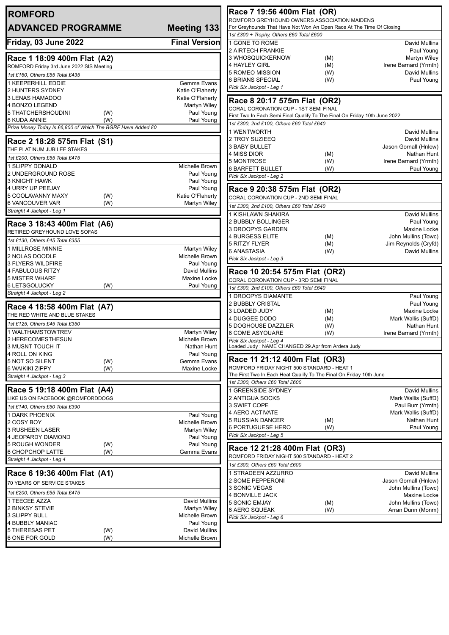| <b>ROMFORD</b>                                              |                                          | Race 7 19:56 400m Flat (OR)                                                                                          |            |                                             |  |
|-------------------------------------------------------------|------------------------------------------|----------------------------------------------------------------------------------------------------------------------|------------|---------------------------------------------|--|
| <b>ADVANCED PROGRAMME</b>                                   | <b>Meeting 133</b>                       | ROMFORD GREYHOUND OWNERS ASSOCIATION MAIDENS<br>For Greyhounds That Have Not Won An Open Race At The Time Of Closing |            |                                             |  |
|                                                             | 1st £300 + Trophy, Others £60 Total £600 |                                                                                                                      |            |                                             |  |
| Friday, 03 June 2022                                        | <b>Final Version</b>                     | 1 GONE TO ROME                                                                                                       |            | David Mullins                               |  |
|                                                             |                                          | 2 AIRTECH FRANKIE                                                                                                    |            | Paul Young                                  |  |
| Race 1 18:09 400m Flat (A2)                                 |                                          | 3 WHOSQUICKERNOW                                                                                                     | (M)        | Martyn Wiley                                |  |
| ROMFORD Friday 3rd June 2022 SIS Meeting                    |                                          | 4 HAYLEY GIRL<br>5 ROMEO MISSION                                                                                     | (M)<br>(W) | Irene Barnard (Yrmth)<br>David Mullins      |  |
| 1st £160, Others £55 Total £435                             |                                          | <b>6 BRIANS SPECIAL</b>                                                                                              | (W)        | Paul Young                                  |  |
| 1 KEEPERHILL EDDIE                                          | Gemma Evans<br>Katie O'Flaherty          | Pick Six Jackpot - Leg 1                                                                                             |            |                                             |  |
| 2 HUNTERS SYDNEY<br>3 LENAS HAMADOO                         | Katie O'Flaherty                         |                                                                                                                      |            |                                             |  |
| 4 BONZO LEGEND                                              | <b>Martyn Wiley</b>                      | Race 8 20:17 575m Flat (OR2)                                                                                         |            |                                             |  |
| 5 THATCHERSHOUDINI<br>(W)                                   | Paul Young                               | CORAL CORONATION CUP - 1ST SEMI FINAL<br>First Two In Each Semi Final Qualify To The Final On Friday 10th June 2022  |            |                                             |  |
| (W)<br><b>6 KUDA ANNIE</b>                                  | Paul Young                               | 1st £300, 2nd £100, Others £60 Total £640                                                                            |            |                                             |  |
| Prize Money Today Is £6,800 of Which The BGRF Have Added £0 |                                          | 1 WENTWORTH                                                                                                          |            | David Mullins                               |  |
| Race 2 18:28 575m Flat (S1)                                 |                                          | 2 TROY SUZIEEQ                                                                                                       |            | David Mullins                               |  |
| THE PLATINUM JUBILEE STAKES                                 |                                          | 3 BABY BULLET                                                                                                        |            | Jason Gornall (Hnlow)                       |  |
| 1st £200, Others £55 Total £475                             |                                          | 4 MISS DIOR                                                                                                          | (M)        | Nathan Hunt                                 |  |
| 1 SLIPPY DONALD                                             | Michelle Brown                           | 5 MONTROSE                                                                                                           | (W)        | Irene Barnard (Yrmth)                       |  |
| 2 UNDERGROUND ROSE                                          | Paul Young                               | <b>6 BARFETT BULLET</b><br>Pick Six Jackpot - Leg 2                                                                  | (W)        | Paul Young                                  |  |
| 3 KNIGHT HAWK                                               | Paul Young                               |                                                                                                                      |            |                                             |  |
| 4 URRY UP PEEJAY                                            | Paul Young                               | Race 9 20:38 575m Flat (OR2)                                                                                         |            |                                             |  |
| 5 COOLAVANNY MAXY<br>(W)                                    | Katie O'Flaherty                         | CORAL CORONATION CUP - 2ND SEMI FINAL                                                                                |            |                                             |  |
| <b>6 VANCOUVER VAR</b><br>(W)                               | Martyn Wiley                             | 1st £300, 2nd £100, Others £60 Total £640                                                                            |            |                                             |  |
| Straight 4 Jackpot - Leg 1                                  |                                          | 1 KISHLAWN SHAKIRA                                                                                                   |            | <b>David Mullins</b>                        |  |
| Race 3 18:43 400m Flat (A6)                                 |                                          | 2 BUBBLY BOLLINGER                                                                                                   |            | Paul Young                                  |  |
| RETIRED GREYHOUND LOVE SOFAS                                |                                          | 3 DROOPYS GARDEN                                                                                                     |            | Maxine Locke                                |  |
| 1st £130, Others £45 Total £355                             |                                          | <b>4 BURGESS ELITE</b><br>5 RITZY FLYER                                                                              | (M)<br>(M) | John Mullins (Towc)<br>Jim Reynolds (Cryfd) |  |
| 1 MILLROSE MINNIE                                           | Martyn Wiley                             | 6 ANASTASIA                                                                                                          | (W)        | David Mullins                               |  |
| 2 NOLAS DOODLE                                              | Michelle Brown                           | Pick Six Jackpot - Leg 3                                                                                             |            |                                             |  |
| 3 FLYERS WILDFIRE                                           | Paul Young                               |                                                                                                                      |            |                                             |  |
| 4 FABULOUS RITZY<br><b>5 MISTER WHARF</b>                   | David Mullins<br>Maxine Locke            | Race 10 20:54 575m Flat (OR2)                                                                                        |            |                                             |  |
| <b>6 LETSGOLUCKY</b><br>(W)                                 | Paul Young                               | CORAL CORONATION CUP - 3RD SEMI FINAL                                                                                |            |                                             |  |
| Straight 4 Jackpot - Leg 2                                  |                                          | 1st £300, 2nd £100, Others £60 Total £640                                                                            |            |                                             |  |
|                                                             |                                          | 1 DROOPYS DIAMANTE<br>2 BUBBLY CRISTAL                                                                               |            | Paul Young<br>Paul Young                    |  |
| Race 4 18:58 400m Flat (A7)                                 |                                          | 3 LOADED JUDY                                                                                                        | (M)        | Maxine Locke                                |  |
| THE RED WHITE AND BLUE STAKES                               |                                          | 4 DUGGEE DODO                                                                                                        | (M)        | Mark Wallis (SuffD)                         |  |
| 1st £125, Others £45 Total £350                             |                                          | 5 DOGHOUSE DAZZLER                                                                                                   | (W)        | Nathan Hunt                                 |  |
| 1 WALTHAMSTOWTREV                                           | <b>Martyn Wiley</b>                      | 6 COME ASYOUARE                                                                                                      | (W)        | Irene Barnard (Yrmth)                       |  |
| 2 HERECOMESTHESUN<br>3 MUSNT TOUCH IT                       | Michelle Brown<br>Nathan Hunt            | Pick Six Jackpot - Leg 4<br>oaded Judy : NAME CHANGED 29.Apr from Ardera Judy                                        |            |                                             |  |
| 4 ROLL ON KING                                              | Paul Young                               |                                                                                                                      |            |                                             |  |
| 5 NOT SO SILENT<br>(W)                                      | Gemma Evans                              | Race 11 21:12 400m Flat (OR3)                                                                                        |            |                                             |  |
| <b>6 WAIKIKI ZIPPY</b><br>(W)                               | Maxine Locke                             | ROMFORD FRIDAY NIGHT 500 STANDARD - HEAT 1                                                                           |            |                                             |  |
| Straight 4 Jackpot - Leg 3                                  |                                          | The First Two In Each Heat Qualify To The Final On Friday 10th June                                                  |            |                                             |  |
|                                                             |                                          | 1st £300, Others £60 Total £600                                                                                      |            |                                             |  |
| Race 5 19:18 400m Flat (A4)                                 |                                          | <b>GREENSIDE SYDNEY</b>                                                                                              |            | David Mullins                               |  |
| LIKE US ON FACEBOOK @ROMFORDDOGS                            |                                          | 2 ANTIGUA SOCKS<br>3 SWIFT COPE                                                                                      |            | Mark Wallis (SuffD)<br>Paul Burr (Yrmth)    |  |
| 1st £140, Others £50 Total £390                             |                                          | 4 AERO ACTIVATE                                                                                                      |            | Mark Wallis (SuffD)                         |  |
| 1 DARK PHOENIX<br>2 COSY BOY                                | Paul Young<br>Michelle Brown             | 5 RUSSIAN DANCER                                                                                                     | (M)        | Nathan Hunt                                 |  |
| <b>3 RUSHEEN LASER</b>                                      | Martyn Wiley                             | <b>6 PORTUGUESE HERO</b>                                                                                             | (W)        | Paul Young                                  |  |
| 4 JEOPARDY DIAMOND                                          | Paul Young                               | Pick Six Jackpot - Leg 5                                                                                             |            |                                             |  |
| <b>5 ROUGH WONDER</b><br>(W)                                | Paul Young                               |                                                                                                                      |            |                                             |  |
| 6 CHOPCHOP LATTE<br>(W)                                     | Gemma Evans                              | Race 12 21:28 400m Flat (OR3)<br>ROMFORD FRIDAY NIGHT 500 STANDARD - HEAT 2                                          |            |                                             |  |
| Straight 4 Jackpot - Leg 4                                  |                                          |                                                                                                                      |            |                                             |  |
|                                                             |                                          | 1st £300, Others £60 Total £600<br>STRADEEN AZZURRO                                                                  |            | David Mullins                               |  |
| Race 6 19:36 400m Flat (A1)                                 |                                          | 2 SOME PEPPERONI                                                                                                     |            | Jason Gornall (Hnlow)                       |  |
| 70 YEARS OF SERVICE STAKES                                  |                                          | 3 SONIC VEGAS                                                                                                        |            | John Mullins (Towc)                         |  |
| 1st £200, Others £55 Total £475                             |                                          | 4 BONVILLE JACK                                                                                                      |            | Maxine Locke                                |  |
| 1 TEECEE AZZA                                               | David Mullins                            | <b>5 SONIC EMJAY</b>                                                                                                 | (M)        | John Mullins (Towc)                         |  |
| 2 BINKSY STEVIE                                             | <b>Martyn Wiley</b>                      | 6 AERO SQUEAK                                                                                                        | (W)        | Arran Dunn (Monm)                           |  |
| 3 SLIPPY BULL<br>4 BUBBLY MANIAC                            | Michelle Brown<br>Paul Young             | Pick Six Jackpot - Leg 6                                                                                             |            |                                             |  |
| 5 THERESAS PET<br>(W)                                       | David Mullins                            |                                                                                                                      |            |                                             |  |
| 6 ONE FOR GOLD<br>(W)                                       | Michelle Brown                           |                                                                                                                      |            |                                             |  |
|                                                             |                                          |                                                                                                                      |            |                                             |  |